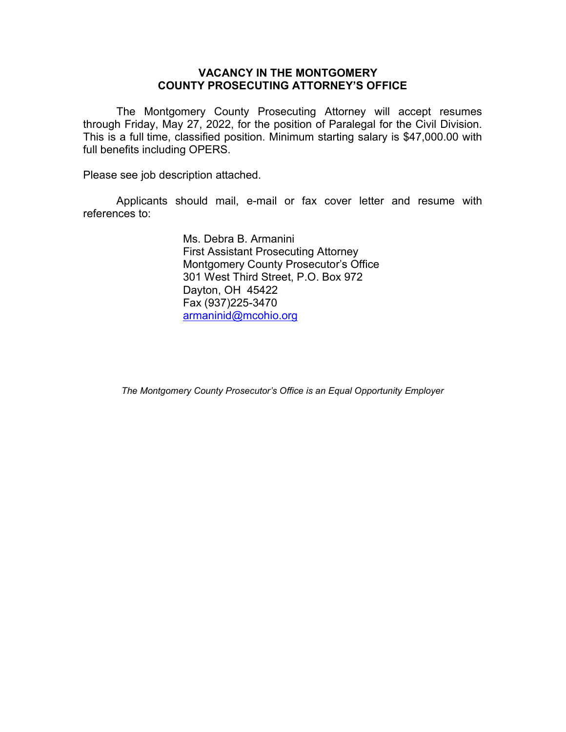# VACANCY IN THE MONTGOMERY COUNTY PROSECUTING ATTORNEY'S OFFICE

The Montgomery County Prosecuting Attorney will accept resumes through Friday, May 27, 2022, for the position of Paralegal for the Civil Division. This is a full time, classified position. Minimum starting salary is \$47,000.00 with full benefits including OPERS.

Please see job description attached.

Applicants should mail, e-mail or fax cover letter and resume with references to:

> Ms. Debra B. Armanini First Assistant Prosecuting Attorney Montgomery County Prosecutor's Office 301 West Third Street, P.O. Box 972 Dayton, OH 45422 Fax (937)225-3470 armaninid@mcohio.org

The Montgomery County Prosecutor's Office is an Equal Opportunity Employer